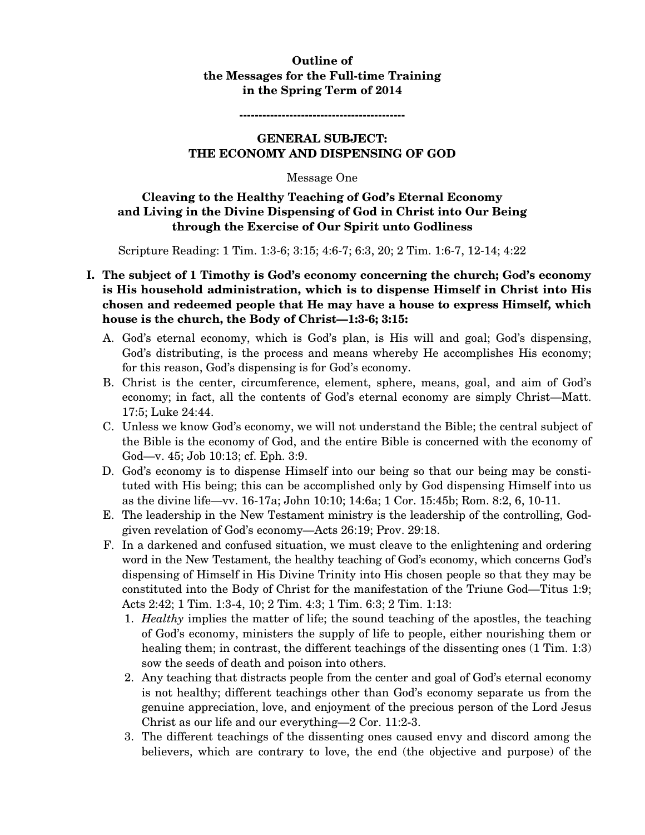# **Outline of the Messages for the Full-time Training in the Spring Term of 2014**

**-------------------------------------------** 

### **GENERAL SUBJECT: THE ECONOMY AND DISPENSING OF GOD**

#### Message One

# **Cleaving to the Healthy Teaching of God's Eternal Economy and Living in the Divine Dispensing of God in Christ into Our Being through the Exercise of Our Spirit unto Godliness**

Scripture Reading: 1 Tim. 1:3-6; 3:15; 4:6-7; 6:3, 20; 2 Tim. 1:6-7, 12-14; 4:22

- **I. The subject of 1 Timothy is God's economy concerning the church; God's economy is His household administration, which is to dispense Himself in Christ into His chosen and redeemed people that He may have a house to express Himself, which house is the church, the Body of Christ—1:3-6; 3:15:** 
	- A. God's eternal economy, which is God's plan, is His will and goal; God's dispensing, God's distributing, is the process and means whereby He accomplishes His economy; for this reason, God's dispensing is for God's economy.
	- B. Christ is the center, circumference, element, sphere, means, goal, and aim of God's economy; in fact, all the contents of God's eternal economy are simply Christ—Matt. 17:5; Luke 24:44.
	- C. Unless we know God's economy, we will not understand the Bible; the central subject of the Bible is the economy of God, and the entire Bible is concerned with the economy of God—v. 45; Job 10:13; cf. Eph. 3:9.
	- D. God's economy is to dispense Himself into our being so that our being may be constituted with His being; this can be accomplished only by God dispensing Himself into us as the divine life—vv. 16-17a; John 10:10; 14:6a; 1 Cor. 15:45b; Rom. 8:2, 6, 10-11.
	- E. The leadership in the New Testament ministry is the leadership of the controlling, Godgiven revelation of God's economy—Acts 26:19; Prov. 29:18.
	- F. In a darkened and confused situation, we must cleave to the enlightening and ordering word in the New Testament, the healthy teaching of God's economy, which concerns God's dispensing of Himself in His Divine Trinity into His chosen people so that they may be constituted into the Body of Christ for the manifestation of the Triune God—Titus 1:9; Acts 2:42; 1 Tim. 1:3-4, 10; 2 Tim. 4:3; 1 Tim. 6:3; 2 Tim. 1:13:
		- 1. *Healthy* implies the matter of life; the sound teaching of the apostles, the teaching of God's economy, ministers the supply of life to people, either nourishing them or healing them; in contrast, the different teachings of the dissenting ones  $(1 \text{ Tim. } 1:3)$ sow the seeds of death and poison into others.
		- 2. Any teaching that distracts people from the center and goal of God's eternal economy is not healthy; different teachings other than God's economy separate us from the genuine appreciation, love, and enjoyment of the precious person of the Lord Jesus Christ as our life and our everything—2 Cor. 11:2-3.
		- 3. The different teachings of the dissenting ones caused envy and discord among the believers, which are contrary to love, the end (the objective and purpose) of the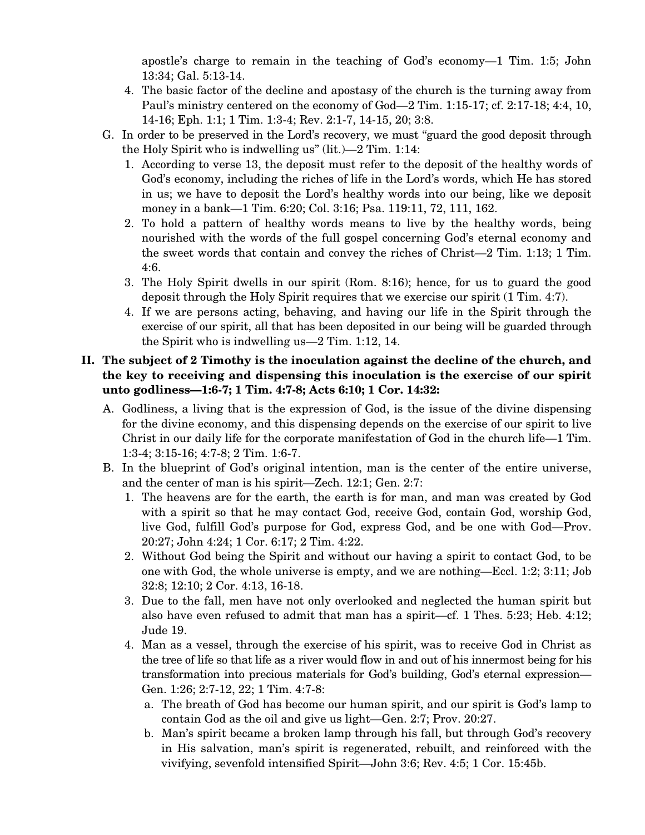apostle's charge to remain in the teaching of God's economy—1 Tim. 1:5; John 13:34; Gal. 5:13-14.

- 4. The basic factor of the decline and apostasy of the church is the turning away from Paul's ministry centered on the economy of God—2 Tim. 1:15-17; cf. 2:17-18; 4:4, 10, 14-16; Eph. 1:1; 1 Tim. 1:3-4; Rev. 2:1-7, 14-15, 20; 3:8.
- G. In order to be preserved in the Lord's recovery, we must "guard the good deposit through the Holy Spirit who is indwelling us" (lit.)—2 Tim. 1:14:
	- 1. According to verse 13, the deposit must refer to the deposit of the healthy words of God's economy, including the riches of life in the Lord's words, which He has stored in us; we have to deposit the Lord's healthy words into our being, like we deposit money in a bank—1 Tim. 6:20; Col. 3:16; Psa. 119:11, 72, 111, 162.
	- 2. To hold a pattern of healthy words means to live by the healthy words, being nourished with the words of the full gospel concerning God's eternal economy and the sweet words that contain and convey the riches of Christ—2 Tim. 1:13; 1 Tim. 4:6.
	- 3. The Holy Spirit dwells in our spirit (Rom. 8:16); hence, for us to guard the good deposit through the Holy Spirit requires that we exercise our spirit (1 Tim. 4:7).
	- 4. If we are persons acting, behaving, and having our life in the Spirit through the exercise of our spirit, all that has been deposited in our being will be guarded through the Spirit who is indwelling us—2 Tim. 1:12, 14.

# **II. The subject of 2 Timothy is the inoculation against the decline of the church, and the key to receiving and dispensing this inoculation is the exercise of our spirit unto godliness—1:6-7; 1 Tim. 4:7-8; Acts 6:10; 1 Cor. 14:32:**

- A. Godliness, a living that is the expression of God, is the issue of the divine dispensing for the divine economy, and this dispensing depends on the exercise of our spirit to live Christ in our daily life for the corporate manifestation of God in the church life—1 Tim. 1:3-4; 3:15-16; 4:7-8; 2 Tim. 1:6-7.
- B. In the blueprint of God's original intention, man is the center of the entire universe, and the center of man is his spirit—Zech. 12:1; Gen. 2:7:
	- 1. The heavens are for the earth, the earth is for man, and man was created by God with a spirit so that he may contact God, receive God, contain God, worship God, live God, fulfill God's purpose for God, express God, and be one with God—Prov. 20:27; John 4:24; 1 Cor. 6:17; 2 Tim. 4:22.
	- 2. Without God being the Spirit and without our having a spirit to contact God, to be one with God, the whole universe is empty, and we are nothing—Eccl. 1:2; 3:11; Job 32:8; 12:10; 2 Cor. 4:13, 16-18.
	- 3. Due to the fall, men have not only overlooked and neglected the human spirit but also have even refused to admit that man has a spirit—cf. 1 Thes. 5:23; Heb. 4:12; Jude 19.
	- 4. Man as a vessel, through the exercise of his spirit, was to receive God in Christ as the tree of life so that life as a river would flow in and out of his innermost being for his transformation into precious materials for God's building, God's eternal expression— Gen. 1:26; 2:7-12, 22; 1 Tim. 4:7-8:
		- a. The breath of God has become our human spirit, and our spirit is God's lamp to contain God as the oil and give us light—Gen. 2:7; Prov. 20:27.
		- b. Man's spirit became a broken lamp through his fall, but through God's recovery in His salvation, man's spirit is regenerated, rebuilt, and reinforced with the vivifying, sevenfold intensified Spirit—John 3:6; Rev. 4:5; 1 Cor. 15:45b.